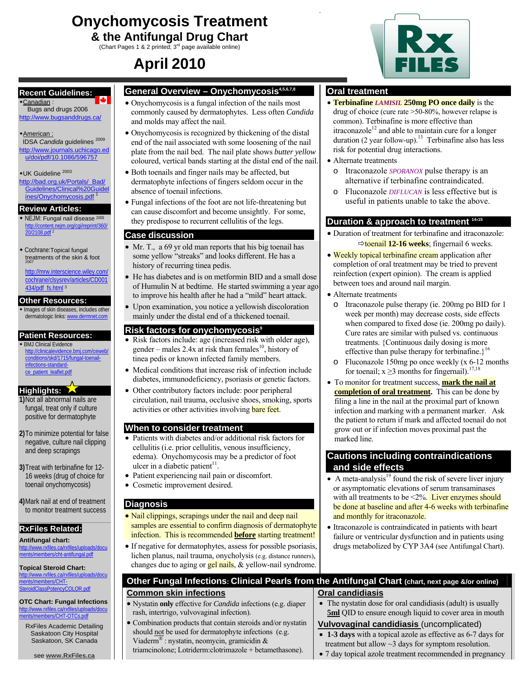# **Onychomycosis Treatment & the Antifungal Drug Chart**

(Chart Pages 1 & 2 printed; 3rd page available online)

# **April 2010**

### **Recent Guidelines:**

Canadian : Bugs and drugs 2006 http://www.bugsanddrugs.ca/

#### American :

 IDSA *Candida* guidelines <sup>2009</sup> http://www.journals.uchicago.ed u/doi/pdf/10.1086/596757

UK Guideline 2003 http://bad.org.uk/Portals/\_Bad/ Guidelines/Clinical%20Guidel ines/Onychomycosis.pdf

### **Review Articles:**

 NEJM: Fungal nail disease <sup>2009</sup> http://content.nejm.org/cgi/reprint/360/ 20/2108.pdf<sup>2</sup>

 Cochrane:Topical fungal treatments of the skin & foot 2007

http://mrw.interscience.wiley.com/ cochrane/clsysrev/articles/CD001 434/pdf\_fs.html <sup>3</sup>

### **Other Resources:**

 $\bullet$  Images of skin diseases, includes other dermatologic links: www.dermnet.com

### **Patient Resources:**

 BMJ Clinical Evidence http://clinicalevidence.bmj.com/ceweb/ conditions/skd/1715/fungal-toenailinfections-standardce\_patient\_leaflet.pdf

### **Highlights:**

- **1)**Not all abnormal nails are fungal, treat only if culture positive for dermatophyte
- **2)**To minimize potential for false negative, culture nail clipping and deep scrapings
- **3)**Treat with terbinafine for 12- 16 weeks (drug of choice for toenail onychomycosis)

**4)**Mark nail at end of treatment to monitor treatment success

## **RxFiles Related:**

**Antifungal chart:**  ds/docu ments/members/cht-antifungal.pdf

**Topical Steroid Chart:**  http://www.rxfiles.ca/rxfiles/uploads/docu ments/members/CHTassPotencyCOLOR.pdf

**OTC Chart: Fungal Infections**  http://www.rxfiles.ca/rxfi mbers/CHT-OTCs.pdf

RxFiles Academic Detailing Saskatoon City Hospital Saskatoon, SK Canada

### **General Overview – Onychomycosis4,5,6,7,8**

- Onychomycosis is a fungal infection of the nails most commonly caused by dermatophytes. Less often *Candida*  and molds may affect the nail.
- Onychomycosis is recognized by thickening of the distal end of the nail associated with some loosening of the nail plate from the nail bed. The nail plate shows *butter yellow*  coloured, vertical bands starting at the distal end of the nail.
	- Both toenails and finger nails may be affected, but dermatophyte infections of fingers seldom occur in the absence of toenail infections.
- Fungal infections of the foot are not life-threatening but can cause discomfort and become unsightly. For some, they predispose to recurrent cellulitis of the legs.

### **Case discussion**

- Mr. T<sub>1</sub>, a 69 yr old man reports that his big toenail has some yellow "streaks" and looks different. He has a history of recurring tinea pedis.
- He has diabetes and is on metformin BID and a small dose of Humulin N at bedtime. He started swimming a year ago to improve his health after he had a "mild" heart attack.
- Upon examination, you notice a yellowish discoloration mainly under the distal end of a thickened toenail.

### **Risk factors for onychomycosis9**

- Risk factors include: age (increased risk with older age), gender – males 2.4x at risk than females<sup>10</sup>, history of tinea pedis or known infected family members.
- Medical conditions that increase risk of infection include diabetes, immunodeficiency, psoriasis or genetic factors.
- Other contributory factors include: poor peripheral circulation, nail trauma, occlusive shoes, smoking, sports activities or other activities involving bare feet.

### **When to consider treatment**

- Patients with diabetes and/or additional risk factors for cellulitis (i.e. prior cellulitis, venous insufficiency, edema). Onychomycosis may be a predictor of foot ulcer in a diabetic patient<sup>11</sup>.
- Patient experiencing nail pain or discomfort.
- Cosmetic improvement desired.

**Common skin infections**

rash, intertrigo, vulvovaginal infection).

### **Diagnosis**

- Nail clippings, scrapings under the nail and deep nail samples are essential to confirm diagnosis of dermatophyte infection. This is recommended **before** starting treatment!
- If negative for dermatophytes, assess for possible psoriasis, lichen planus, nail trauma, onycholysis (e.g. distance runners), changes due to aging or **gel nails**, & yellow-nail syndrome.

• Nystatin **only** effective for *Candida* infections (e.g. diaper

• Combination products that contain steroids and/or nystatin should not be used for dermatophyte infections (e.g. Viaderm<sup>®</sup> : nystatin, neomycin, gramicidin &

triamcinolone; Lotriderm:clotrimazole + betamethasone).

### **Oral treatment**

- **Terbinafine** *LAMISIL* **250mg PO once daily** is the drug of choice (cure rate >50-80%, however relapse is common). Terbinafine is more effective than itraconazole<sup>12</sup> and able to maintain cure for a longer duration  $(2 \text{ year follow-up})$ .<sup>13</sup> Terbinafine also has less risk for potential drug interactions.
- Alternate treatments
	- o Itraconazole *SPORANOX* pulse therapy is an alternative if terbinafine contraindicated.
	- o Fluconazole *DIFLUCAN* is less effective but is useful in patients unable to take the above.

# **Duration & approach to treatment 14,15**

- Duration of treatment for terbinafine and itraconazole:  $\Rightarrow$ **toenail 12-16 weeks**; fingernail 6 weeks.
- Weekly topical terbinafine cream application after completion of oral treatment may be tried to prevent reinfection (expert opinion). The cream is applied between toes and around nail margin.
- Alternate treatments
	- o Itraconazole pulse therapy (ie. 200mg po BID for 1 week per month) may decrease costs, side effects when compared to fixed dose (ie. 200mg po daily). Cure rates are similar with pulsed vs. continuous treatments. {Continuous daily dosing is more effective than pulse therapy for terbinafine. $1^{16}$
	- o Fluconazole 150mg po once weekly (x 6-12 months for toenail;  $x \ge 3$  months for fingernail).<sup>17,18</sup>
- To monitor for treatment success, **mark the nail at <u>completion of oral treatment</u>**. This can be done by filing a line in the nail at the proximal part of known infection and marking with a permanent marker. Ask the patient to return if mark and affected toenail do not grow out or if infection moves proximal past the marked line.

### **Cautions including contraindications and side effects**

- A meta-analysis<sup>19</sup> found the risk of severe liver injury or asymptomatic elevations of serum transaminases with all treatments to be  $\leq 2\%$ . Liver enzymes should be done at baseline and after 4-6 weeks with terbinafine and monthly for itraconazole.
- Itraconazole is contraindicated in patients with heart failure or ventricular dysfunction and in patients using drugs metabolized by CYP 3A4 (see Antifungal Chart).

### **Other Fungal Infections: Clinical Pearls from the Antifungal Chart (chart, next page &/or online) Oral candidiasis**

• The nystatin dose for oral candidiasis (adult) is usually **5ml** QID to ensure enough liquid to cover area in mouth

### **Vulvovaginal candidiasis** (uncomplicated)

- • **1-3 days** with a topical azole as effective as 6-7 days for treatment but allow ~3 days for symptom resolution.
- 7 day topical azole treatment recommended in pregnancy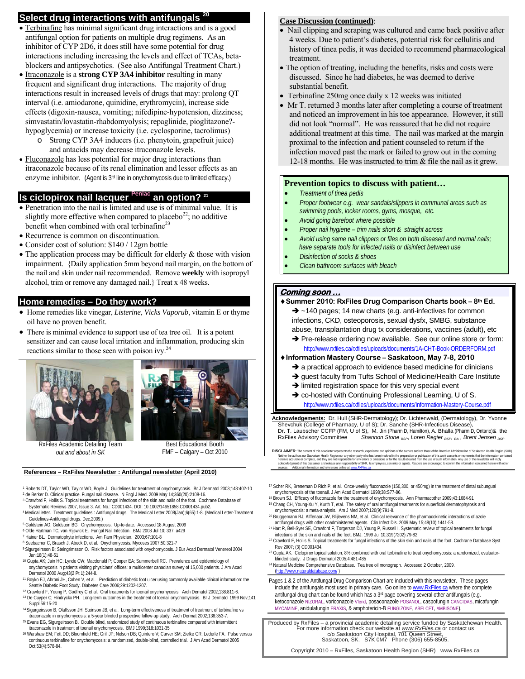# **Select drug interactions with antifungals 20**

- Terbinafine has minimal significant drug interactions and is a good antifungal option for patients on multiple drug regimens. As an inhibitor of CYP 2D6, it does still have some potential for drug interactions including increasing the levels and effect of TCAs, betablockers and antipsychotics. (See also Antifungal Treatment Chart.)
- Itraconazole is a **strong CYP 3A4 inhibitor** resulting in many frequent and significant drug interactions. The majority of drug interactions result in increased levels of drugs that may: prolong QT interval (i.e. amiodarone, quinidine, erythromycin), increase side effects (digoxin-nausea, vomiting; nifedipine-hypotension, dizziness; simvastatin/lovastatin-rhabdomyolysis; repaglinide, pioglitazone? hypoglycemia) or increase toxicity (i.e. cyclosporine, tacrolimus)
	- o Strong CYP 3A4 inducers (i.e. phenytoin, grapefruit juice) and antacids may decrease itraconazole levels.
- Fluconazole has less potential for major drug interactions than itraconazole because of its renal elimination and lesser effects as an enzyme inhibitor. (Agent is 3rd line in onychomycosis due to limited efficacy.)

### **Is ciclopirox nail lacquer** Penlac an option? 21

- Penetration into the nail is limited and use is of minimal value. It is slightly more effective when compared to placebo<sup>22</sup>; no additive benefit when combined with oral terbinafine<sup>23</sup>
- Recurrence is common on discontinuation.
- Consider cost of solution: \$140 / 12gm bottle
- The application process may be difficult for elderly & those with vision impairment. {Daily application 5mm beyond nail margin, on the bottom of the nail and skin under nail recommended. Remove **weekly** with isopropyl alcohol, trim or remove any damaged nail.} Treat x 48 weeks.

### **Home remedies – Do they work?**

- Home remedies like vinegar, *Listerine*, *Vicks Vaporub*, vitamin E or thyme oil have no proven benefit.
- There is minimal evidence to support use of tea tree oil. It is a potent sensitizer and can cause local irritation and inflammation, producing skin reactions similar to those seen with poison ivy. $24$





RxFiles Academic Detailing Team *out and about in SK*

Best Educational Booth FMF – Calgary – Oct 2010

#### **References – RxFiles Newsletter : Antifungal newsletter (April 2010)**

1 Roberts DT, Taylor WD, Taylor WD, Boyle J. Guidelines for treatment of onychomycosis. Br J Dermatol 2003;148:402-10

- 2 de Berker D. Clinical practice. Fungal nail disease. N Engl J Med. 2009 May 14;360(20):2108-16. 3 Crawford F, Hollis S. Topical treatments for fungal infections of the skin and nails of the foot. Cochrane Database of
- Systematic Reviews 2007, Issue 3. Art. No.: CD001434. DOI: 10.1002/14651858.CD001434.pub2.<br>4 Medical letter. Treatment guidelines : Antifungal drugs. The Medical Letter 2008(Jan);6(65):1-8. (Medical Letter-Treatment<br>Guidel
- <sup>5</sup> Goldstein AO, Goldstein BG. Onychomycosis. Up-to-date. Accessed 18 August 2009
- 6 Olde Hartman TC, van Rijswick E. Fungal Nail Infection. BMJ 2008 Jul 10; 337: a429 7 Hainer BL. Dermatophyte infections. Am Fam Physician. 2003;67:101-8
- 
- 8 Seebacher C, Brasch J, Abeck D, et al. Onychomycosis. Mycoses 2007;50:321-7 9 Sigurgeirsson B; Steingrimsson O. Risk factors associated with onychomycosis. J Eur Acad Dermatol Venereol 2004
- 10 Gupta AK; Jain HC; Lynde CW; Macdonald P; Cooper EA; Summerbell RC. Prevalence and epidemiology of onychomycosis in patients visiting physicians' offices: a multicenter canadian survey of 15,000 patients. J Am Acad<br>Dermatol 2000 Aug: 43(2 Pt 1):244-8.
- <sup>11</sup> Boyko EJ, Ahroni JH, Cohen V, et al. Prediction of diabetic foot ulcer using commonly available clinical information: the Seattle Diabetic Foot Study. Diabetes Care 2006;29:1202-1207.
- <sup>12</sup> Crawford F, Young P, Godfrey C et al. Oral treatments for toenail onychomycosis. Arch Dematol 2002:138:811-6 13 De Cuyper C; Hindryckx PH. Long-term outcomes in the treatment of toenail onychomycosis. Br J Dermatol 1999 Nov;141
- Suppl 56:15-20<br><sup>14 Sigurgeirsson B, Olaffsson JH, Steinson JB, et al. Long-term effectiveness of treatment of treatment of terbinafine vs<br>11 itraconazole in onychomycosis: a 5-year blinded prospective follow-up study. Arch</sup>
- 15 Evans EG, Sigurgeirsson B. Double blind, randomized study of continuous terbinafine compared with intermittent itraconazole in treatment of toenail onychomycosis. BMJ 1999;318:1031-35 16 Warshaw EM; Fett DD; Bloomfield HE; Grill JP; Nelson DB; Quintero V; Carver SM; Zielke GR; Lederle FA. Pulse versus
- continuous terbinafine for onychomycosis: a randomized, double-blind, controlled trial. J Am Acad Dermatol 2005 Oct;53(4):578-84.

### **Case Discussion (continued)**:

- Nail clipping and scraping was cultured and came back positive after 4 weeks. Due to patient's diabetes, potential risk for cellulitis and history of tinea pedis, it was decided to recommend pharmacological treatment.
- The option of treating, including the benefits, risks and costs were discussed. Since he had diabetes, he was deemed to derive substantial benefit.
- Terbinafine 250mg once daily x 12 weeks was initiated
- Mr T. returned 3 months later after completing a course of treatment and noticed an improvement in his toe appearance. However, it still did not look "normal". He was reassured that he did not require additional treatment at this time. The nail was marked at the margin proximal to the infection and patient counseled to return if the infection moved past the mark or failed to grow out in the coming 12-18 months. He was instructed to trim & file the nail as it grew.

### **Prevention topics to discuss with patient…**

- *Treatment of tinea pedis*
- *Proper footwear e.g. wear sandals/slippers in communal areas such as swimming pools, locker rooms, gyms, mosque, etc.*
- *Avoid going barefoot where possible*
- *Proper nail hygiene trim nails short & straight across*
- *Avoid using same nail clippers or files on both diseased and normal nails; have separate tools for infected nails or disinfect between use*
- *Disinfection of socks & shoes*
- *Clean bathroom surfaces with bleach*

### **Coming soon …**

### ♦**Summer 2010: RxFiles Drug Comparison Charts book – 8th Ed.**

 $\rightarrow$  ~140 pages; 14 new charts (e.g. anti-infectives for common infections, CKD, osteoporosis, sexual dysfx, SMBG, substance abuse, transplantation drug tx considerations, vaccines (adult), etc

→ Pre-release ordering now available. See our online store or form: http://www.rxfiles.ca/rxfiles/uploads/documents/1A-CHT-Book-ORDERFORM.pdf

### ♦**Information Mastery Course – Saskatoon, May 7-8, 2010**

- $\rightarrow$  a practical approach to evidence based medicine for clinicians
- $\rightarrow$  guest faculty from Tufts School of Medicine/Health Care Institute
- $\rightarrow$  limited registration space for this very special event
- $\rightarrow$  co-hosted with Continuing Professional Learning, U of S.
	- http://www.rxfiles.ca/rxfiles/uploads/documents/Information-Mastery-Course.pdf

**Acknowledgements:** Dr. Hull (SHR-Dermatology); Dr. Lichtenwald, (Dermatology), Dr. Yvonne Shevchuk (College of Pharmacy, U of S); Dr. Sanche (SHR-Infectious Disease), Dr. T. Laubscher CCFP (FM, U of S), M. Jin (Pharm D, Hamilton), A. Bhalla (Pharm D, Ontario)& the Rx-<br>RxFiles Advisory Committee Shannon Stone <sub>BSP</sub>, Loren Regier <sub>BSP</sub>, <sub>R4</sub>, Brent Jensen <sub>BSP</sub> RxFiles Advisory Committee *Shannon Stone BSP*, *Loren Regier BSP, BA , Brent Jensen BSP* 

DISCLAIMER: The content of this newsletter represents the research, experience and opinions of the authors and not hose of the Baard or Administration of Saskatoon Health Region (SHR).<br>Neither the authors nor Saskatoon Hea

- 17 Scher RK, Breneman D Rich P, et al. Once-weekly fluconazole (150,300, or 450mg) in the treatment of distal subungual onychomycosis of the toenail. J Am Acad Dermatol 1998;38:S77-86.<br><sup>18</sup> Brown SJ. Efficacy of fluconazole for the treatment of onychomycosis. Ann Pharmacother 2009;43:1684-91
- 19 Chang CH, Young-Xu Y, Kurth T, etal. The safety of oral antifungal treatments for superficial dermatophytosis and
- onychomycosis: a meta-analysis. Am J Med 2007;120(9):791-8.<br><sup>20</sup> Brüggemann RJ, Alffenaar JW, Blijlevens NM, et al. Clinical relevance of the pharmacokinetic interactions of azole<br>antifungal drugs with other coadministered
- <sup>21</sup> Hart R, Bell-Syer SE, Crawford F, Torgerson DJ, Young P, Russell I. Systematic review of topical treatments for fungal infections of the skin and nails of the feet. BMJ. 1999 Jul 10;319(7202):79-82
- <sup>22</sup> Crawford F, Hollis S. Topical treatments for fungal infections of the skin skin and nails of the foot. Cochrane Database Syst<br>Rev 2007: (3) CD001434.
- <sup>23</sup> Gupta AK. Ciclopirox topical solution, 8% combined with oral terbinafine to treat onychomycosis: a randomized, evaluator-<br>blinded study. J Drugs Dermatol 2005;4:481-485
- <sup>24</sup> Natural Medicine Comprehensive Database. Tea tree oil monograph. Accessed 2 October, 2009. (http://www.naturaldatabase.com/ )
- Pages 1 & 2 of the Antifungal Drug Comparison Chart are included with this newsletter. These pages include the antifungals most used in primary care. Go online to www.RxFiles.ca where the complete antifungal drug chart can be found which has a 3rd page covering several other antifungals (e.g. ketoconazole NIZORAL, voriconazole Vfend, posaconazole POSANOL, caspofungin CANCIDAS, micafungin MYCAMINE, anidulafungin ERAXIS, & amphotericin-B FUNGIZONE, ABELCET, AMBISONE).

Produced by RxFiles – a provincial academic detailing service funded by Saskatchewan Health. For more information check our website at *www.RxFiles.ca* or contact us c/o Saskatoon City Hospital, 701 Queen Street, Saskatoon, SK. S7K 0M7 Phone (306) 655-8505.

Copyright 2010 – RxFiles, Saskatoon Health Region (SHR) www.RxFiles.ca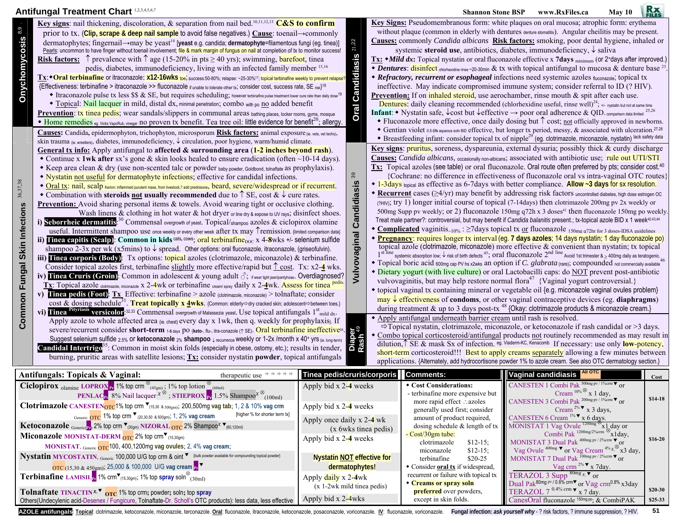## **Antifungal Treatment Chart** 1,2,3,4,5,6,7 **Shannon Stone BSP www.RxFiles.ca** May 10 **Rx**

**Clotrimazole CANESTEN**OTC1% top crm <sup>W</sup>(15,30 & 500gm); 200,500mg **vag tab**; 1, 2 & 10% **vag crm**

**Ketoconazole** <sub>Generic(Pr)</sub> 2% top crm ▼<sub>(30gm)</sub> NIZORAL <sub>OTC</sub> 2% Shampoo<sup>x</sup> ▼<sub>(60,120ml)</sub>

**MONISTAT**, Generic OTC100, 400,1200mg **vag ovules**; 2, 4% **vag cream**;

**Miconazole MONISTAT-DERM** <sub>OTC</sub> 2% top crm▼<sub>(15,30gm)</sub>

Generic **OTC** 1% top crm  $\blacktriangledown$ <sub>(20,30,50 & 500gm); 1, 2% vag cream [higher % for shorter term tx]</sub>

|                                                                                                                                                                                                                                                                                       | Allululuda Treathlefit Oliai                                                                                                                                                                                                                                                                                                                                                                                                                                                                                                                                                                                                                                                                                                                                                                                                                                                                                                                                                                                                                                                                                                                                                                                                                                                                                                                                                                                                                                                                                                                                                                                                                                                                                                                                                                                                                                                                                                                                                                                                                                                                                                                                                                                                                                                                                                                                                                                                                                                                                                                                                                                                                                                                                                                                                                                                                                                                                                                                                                                                                                                                                                                                                    |                                                        |                     | энаннон эшие рэг                                                                                                                                                                                                                                                                                                                                                                                                                                                                                                                                                                                                                                                                                                                                                                                                                                                                                                                                                                                                                                                                                                                                                                                                                                                                                                                                                                                                                                                                                                                                                                                                                                                                                                                                                                                                                                                                                                                                                                                                                                                                                                                                                                                                                                                                                                                                                                                                                                                                                                                                                                                                                                                                                                                                                                                                                                                                                                                          | WWW.IXAFIICS.Ca                                                                                      | лиау п |          |
|---------------------------------------------------------------------------------------------------------------------------------------------------------------------------------------------------------------------------------------------------------------------------------------|---------------------------------------------------------------------------------------------------------------------------------------------------------------------------------------------------------------------------------------------------------------------------------------------------------------------------------------------------------------------------------------------------------------------------------------------------------------------------------------------------------------------------------------------------------------------------------------------------------------------------------------------------------------------------------------------------------------------------------------------------------------------------------------------------------------------------------------------------------------------------------------------------------------------------------------------------------------------------------------------------------------------------------------------------------------------------------------------------------------------------------------------------------------------------------------------------------------------------------------------------------------------------------------------------------------------------------------------------------------------------------------------------------------------------------------------------------------------------------------------------------------------------------------------------------------------------------------------------------------------------------------------------------------------------------------------------------------------------------------------------------------------------------------------------------------------------------------------------------------------------------------------------------------------------------------------------------------------------------------------------------------------------------------------------------------------------------------------------------------------------------------------------------------------------------------------------------------------------------------------------------------------------------------------------------------------------------------------------------------------------------------------------------------------------------------------------------------------------------------------------------------------------------------------------------------------------------------------------------------------------------------------------------------------------------------------------------------------------------------------------------------------------------------------------------------------------------------------------------------------------------------------------------------------------------------------------------------------------------------------------------------------------------------------------------------------------------------------------------------------------------------------------------------------------------|--------------------------------------------------------|---------------------|-------------------------------------------------------------------------------------------------------------------------------------------------------------------------------------------------------------------------------------------------------------------------------------------------------------------------------------------------------------------------------------------------------------------------------------------------------------------------------------------------------------------------------------------------------------------------------------------------------------------------------------------------------------------------------------------------------------------------------------------------------------------------------------------------------------------------------------------------------------------------------------------------------------------------------------------------------------------------------------------------------------------------------------------------------------------------------------------------------------------------------------------------------------------------------------------------------------------------------------------------------------------------------------------------------------------------------------------------------------------------------------------------------------------------------------------------------------------------------------------------------------------------------------------------------------------------------------------------------------------------------------------------------------------------------------------------------------------------------------------------------------------------------------------------------------------------------------------------------------------------------------------------------------------------------------------------------------------------------------------------------------------------------------------------------------------------------------------------------------------------------------------------------------------------------------------------------------------------------------------------------------------------------------------------------------------------------------------------------------------------------------------------------------------------------------------------------------------------------------------------------------------------------------------------------------------------------------------------------------------------------------------------------------------------------------------------------------------------------------------------------------------------------------------------------------------------------------------------------------------------------------------------------------------------------------------|------------------------------------------------------------------------------------------------------|--------|----------|
| 8,9<br><b>Onychomycosis</b>                                                                                                                                                                                                                                                           | Key signs: nail thickening, discoloration, & separation from nail bed. <sup>10,11,12,13</sup> C&S to confirm<br>prior to tx. (Clip, scrape & deep nail sample to avoid false negatives.) Cause: to enail $\rightarrow$ commonly<br>dermatophytes; fingernail→may be yeast <sup>14</sup> [yeast e.g. candida; dermatophyte=filamentous fungi (eg. tinea)]<br>Pearls: uncommon to have finger without toenail involvement; file & mark margin of fungus on nail at completion of tx to monitor success!<br><b>Risk factors:</b> $\hat{\uparrow}$ prevalence with $\hat{\uparrow}$ age (15-20% in pts $\geq$ 40 yrs); swimming, barefoot, tinearly<br>pedis, diabetes, immunodeficiency, living with an infected family member 15,16<br>Tx: $\bullet$ Oral terbinafine or itraconazole: x12-16wkS toe, success:50-80%; relapse: ~25-30% <sup>17</sup> ; topical terbinafine weekly to prevent relapse?<br>{Effectiveness: terbinafine > itraconazole >> fluconazole if unable to tolerate other tx; consider cost, success rate, SE risk}18<br>◆ Itraconazole pulse tx less \$\$ & SE, but requires scheduling; however terbinafine pulse treatment lower cure rate than daily dose <sup>19</sup><br>• Topical: Nail lacquer in mild, distal dx, minimal penetration; combo with po no added benefit<br>Prevention: tx tinea pedis; wear sandals/slippers in communal areas bathing places, locker rooms, gyms, mosque<br>• Home remedies eg. Vicks VapoRub, vinegar no proven tx benefit. Tea tree oil: little evidence for benefit <sup>20</sup> ; allergy.                                                                                                                                                                                                                                                                                                                                                                                                                                                                                                                                                                                                                                                                                                                                                                                                                                                                                                                                                                                                                                                                                                                                                                                                                                                                                                                                                                                                                                                                                                                                                                                                                      | 21,22<br><b>Candidiasis</b><br>Oral                    |                     | <b>Key Signs:</b> Pseudomembranous form: white plaques on oral mucosa; atrophic form: erythema<br>without plaque (common in elderly with dentures denture stomatitis). Angular cheilitis may be present.<br><b>Causes:</b> commonly <i>Candida albicans</i> Risk factors: smoking, poor dental hygiene, inhaled or<br>systemic steroid use, antibiotics, diabetes, immunodeficiency, $\downarrow$ saliva<br>Tx: • Mild dx: Topical nystatin or oral fluconazole effective x 7days minimum (or 2+days after improved.)<br>Dentures: disinfect chlorhexidine rinse -20-30min & tx with topical antifungal to mucosa & denture base <sup>23</sup><br>• Refractory, recurrent or esophageal infections need systemic azoles fluconazole; topical tx<br>ineffective. May indicate compromised immune system; consider referral to ID (? HIV).<br>Prevention: If on <i>inhaled steroid</i> , use aerochamber, rinse mouth & spit after each use.<br>Dentures: daily cleaning recommended (chlorhexidine useful, rinse well) <sup>24</sup> ; +/- nystatin but not at same time<br><b>Infant:</b> • Nystatin safe, $\downarrow$ cost but $\downarrow$ effective $\rightarrow$ poor oral adherence & QID. comparison data limited <sup>25,26</sup><br>• Fluconazole more effective, once daily dosing but $\uparrow$ cost; <u>not</u> officially approved in newborns.<br>• Gentian violet 0.5-1% aqueous soln BID effective, but longer tx period, messy, & associated with ulceration. <sup>27,28</sup>                                                                                                                                                                                                                                                                                                                                                                                                                                                                                                                                                                                                                                                                                                                                                                                                                                                                                                                                                                                                                                                                                                                                                                                                                                                                                                                                                                                                                                          |                                                                                                      |        |          |
| 36,37,38<br>Skin Infections<br>Fungal<br>Common                                                                                                                                                                                                                                       | Causes: Candida, epidermophyton, trichophyton, microsporum Risk factors: animal exposure (je, vets, vet techs),<br>skin trauma (ie. wrestlers), diabetes, immunodeficiency, ↓ circulation, poor hygiene, warm/humid climate.<br>General tx info: Apply antifungal to affected $\&$ surrounding area (1-2 inches beyond rash).<br>• Continue x 1wk after sx's gone & skin looks healed to ensure eradication (often $\sim$ 10-14 days).<br>• Keep area clean & dry (use non-scented talc or powder baby powder, Goldbond, tolnaftate as prophylaxis).<br>• Nystatin not useful for dermatophyte infections; effective for candidal infections.<br>• Oral tx: nail, scalp Kerion: inflammed purulent mass, from livestock,? add prednisone, beard, severe/widespread or if recurrent.<br>• Combination with <b>steroids <u>not</u></b> usually recommended due to $\uparrow$ SE, cost $\& \downarrow$ cure rates.<br><b>Prevention:</b> Avoid sharing personal items & towels. Avoid wearing tight or occlusive clothing.<br>Wash linens & clothing in hot water & hot dryer or line dry & expose to UV rays; disinfect shoes.<br>Seborrheic dermatitis: <sup>30</sup> Commensal overgrowth of yeast. Topical/shampoo azoles & ciclopirox olamine<br>useful. Intermittent shampoo use once weekly or every other week after tx may Tremission. (limited comparison data)<br>Tinea capitis (Scalp): Common in kids <sup>cats, cows</sup> ; oral terbinafine <sub>DOC</sub> x 4-8wks +/- selenium sulfide<br>ii)<br>shampoo 2-3x per wk (x5mins) to $\downarrow$ spread. Other options: oral fluconazole, itraconazole, (griseofulvin).<br>iii) Tinea corporis (Body): Tx options: topical azoles (clotrimazole, miconazole) & terbinafine.<br>Consider topical azoles first, terbinafine slightly more effective/rapid but $\hat{\uparrow}$ cost. Tx: x2-4 wks.<br>iv) Tinea Cruris (Groin): Common in adolescent & young adult $\beta$ ; if wear tight jean/pantyhose. Overdiagnosed?<br>Tx: Topical azole dotrimazole, miconazole x 2-4wk or terbinafine cream/spray daily x 2-4wk. Assess for tinea pedis.<br><b>Tinea pedis (Foot):</b> $Tx$ Effective: terbinafine > azole (clotrimazole, miconazole) > tolnaftate; consider<br>$\bf{v}$<br>cost & dosing schedule <sup>31</sup> . Treat topically x 4wks. (Common: elderly $\Rightarrow$ dry cracked skin; adolescent $\Rightarrow$ between toes.)<br>Tinea Pityriasis versicolor: 32,33 Commensal overgrowth of Malassezia yeast. Use topical antifungals 1 <sup>st</sup> mild dx.<br>Apply azole to whole affected area (ie. chest) every day x 1wk, then q. weekly for prophylaxis). If<br>severe/recurrent consider short-term 15 days po (keto., flu., itra-conazole ( $\uparrow$ SE). Oral terbinafine ineffective <sup>34</sup> .<br>Suggest selenium sulfide 2.5% or ketoconazole 2% shampoo $\downarrow$ recurrence weekly or 1-2x /month x 40° yrs ( $\epsilon$ , long-term) $\frac{1}{12}$ $\frac{1}{12}$ Connection of $\frac{1}{12}$ Connection $\frac{1}{12}$ Connection $\frac{1}{12}$ Connec<br>burning, pruritic areas with satellite lesions; $Tx$ : consider nystatin <b>powder</b> , topical antifungals | 39<br>ndidiasis<br>වේ<br>lsnigs <sup>1</sup><br>Vulvov |                     | • Breastfeeding infant: consider topical tx of nipple <sup>29</sup> (eg. clotrimazole, miconazole, nystatin) lack safety data<br>Key signs: pruritus, soreness, dyspareunia, external dysuria; possibly thick & curdy discharge<br>Causes: Candida albicans, occasionally non-albicans, associated with antibiotic use; rule out UTI/STI<br>$Tx:$ Topical azoles (see table) or oral fluconazole. Oral route often preferred by pts; consider cost. <sup>40</sup><br>{Cochrane: no difference in effectiveness of fluconazole oral vs intra-vaginal OTC routes}<br>• 1-3 days topical as effective as 6-7 days with better compliance. Allow ~3 days for sx resolution.<br>◆ Recurrent cases (≥4/yr) may benefit by addressing risk factors uncontrolled diabetes, high dose estrogen OC<br>$(2H/W)$ ; try 1) longer initial course of topical (7-14days) then clotrimazole 200mg pv 2x weekly or<br>500mg Supp pv weekly; or 2) fluconazole 150mg q72h x 3 doses <sup>41</sup> then fluconazole 150mg po weekly<br>Treat male partner?: controversial, but may benefit if Candida balanitis present.; tx-topical azole BID x 1 week <sup>42,43,44</sup><br>• Complicated vaginitis <sub>~10%</sub> : >7days topical tx or fluconazole 150mg q72hr for 3 doses-IDSA guidelines<br>* Pregnancy: requires longer tx interval (eg. 7 days azoles; 14 days nystatin; 1 day fluconazole po)<br>topical azole (clotrimazole, miconazole) more effective $\&$ convenient than nystatin; tx topical<br>systemic absorption low; $\downarrow$ risk of birth defects $^{45}$ ; OTal fluconazole $2^{\text{nd line}}$ Avoid 1st trimester & $_{\geq}$ 400mg daily as teratogenic.<br>• Topical boric acid 600mg cap PV hs x2wks an option if C. glabrata (rare); compounded not commercially available<br>• Dietary yogurt (with live culture) or oral Lactobacilli caps: do NOT prevent post-antibiotic<br>vulvovaginitis, but may help restore normal flora <sup>47</sup> {Vaginal yogurt controversial.}<br>• topical vaginal tx containing mineral or vegetable oil {e.g. miconazole vaginal ovules problem}<br>$\frac{may}{r}$ effectiveness of condoms, or other vaginal contraceptive devices (eg. diaphragms)<br>during treatment & up to 3 days post-tx <sup>48</sup> {Okay: clotrimazole products & miconazole cream.}<br>• Apply antifungal underneath barrier cream until rash is resolved.<br>$\Rightarrow$ Topical nystatin, clotrimazole, miconazole, or ketoconazole if rash candidal or >3 days.<br>• Combo topical corticosteroid/antifungal products not routinely recommended as may result in<br>dilution, $\int$ SE & mask Sx of infection. eg. Viaderm-KC, Kenacomb If necessary: use only <b>low-potency</b> ,<br>short-term corticosteroid!!! Best to apply creams separately allowing a few minutes between<br>applications. {Alternately, add hydrocortisone powder 1% to azole cream. See also OTC dermatology section.} |                                                                                                      |        |          |
|                                                                                                                                                                                                                                                                                       | Antifungals: Topicals & Vaginal:<br>therapeutic use $\Rightarrow$ $\Rightarrow$ $\Rightarrow$                                                                                                                                                                                                                                                                                                                                                                                                                                                                                                                                                                                                                                                                                                                                                                                                                                                                                                                                                                                                                                                                                                                                                                                                                                                                                                                                                                                                                                                                                                                                                                                                                                                                                                                                                                                                                                                                                                                                                                                                                                                                                                                                                                                                                                                                                                                                                                                                                                                                                                                                                                                                                                                                                                                                                                                                                                                                                                                                                                                                                                                                                   | <b>Comments:</b>                                       | Vaginal candidiasis |                                                                                                                                                                                                                                                                                                                                                                                                                                                                                                                                                                                                                                                                                                                                                                                                                                                                                                                                                                                                                                                                                                                                                                                                                                                                                                                                                                                                                                                                                                                                                                                                                                                                                                                                                                                                                                                                                                                                                                                                                                                                                                                                                                                                                                                                                                                                                                                                                                                                                                                                                                                                                                                                                                                                                                                                                                                                                                                                           | Cost                                                                                                 |        |          |
| Tinea pedis/cruris/corporis<br><b>Ciclopirox</b> <sub>olamine</sub> LOPRON <sub>Pr</sub> 1% top crm $\frac{\otimes_{(45gm)} 196}{(45gm)}$ ; 1% top lotion $\frac{\otimes_{(60m)}}{2}$<br>Apply bid $x$ 2-4 weeks                                                                      |                                                                                                                                                                                                                                                                                                                                                                                                                                                                                                                                                                                                                                                                                                                                                                                                                                                                                                                                                                                                                                                                                                                                                                                                                                                                                                                                                                                                                                                                                                                                                                                                                                                                                                                                                                                                                                                                                                                                                                                                                                                                                                                                                                                                                                                                                                                                                                                                                                                                                                                                                                                                                                                                                                                                                                                                                                                                                                                                                                                                                                                                                                                                                                                 |                                                        |                     | Cost Considerations:<br>- terbinafine more expensive but                                                                                                                                                                                                                                                                                                                                                                                                                                                                                                                                                                                                                                                                                                                                                                                                                                                                                                                                                                                                                                                                                                                                                                                                                                                                                                                                                                                                                                                                                                                                                                                                                                                                                                                                                                                                                                                                                                                                                                                                                                                                                                                                                                                                                                                                                                                                                                                                                                                                                                                                                                                                                                                                                                                                                                                                                                                                                  | CANESTEN 1 Combi Pak <sup>500mg pv/1%cm ▼</sup> or<br>Cream $10\%$ x 1 day,                          |        |          |
| <b>PENLAC<sub>Pr</sub></b> 8% Nail lacquer $x \otimes$ , <b>STIEPROX</b> $_{\text{Pr}}$ 1.5% Shampoo <sup><math>x \otimes</math></sup> (100ml)<br><b>Clotrimazole CANESTEN<sub>OTC</sub>1%</b> top crm $\mathbf{v}_{(15,30\ 8.500\text{cm})}$ ; 200,500mg vag tab; 1, 2 & 10% vag crm |                                                                                                                                                                                                                                                                                                                                                                                                                                                                                                                                                                                                                                                                                                                                                                                                                                                                                                                                                                                                                                                                                                                                                                                                                                                                                                                                                                                                                                                                                                                                                                                                                                                                                                                                                                                                                                                                                                                                                                                                                                                                                                                                                                                                                                                                                                                                                                                                                                                                                                                                                                                                                                                                                                                                                                                                                                                                                                                                                                                                                                                                                                                                                                                 | Apply bid $x$ 2-4 weeks                                |                     | more rapid effect ∴azoles<br>$11 \t 10 \t 1$                                                                                                                                                                                                                                                                                                                                                                                                                                                                                                                                                                                                                                                                                                                                                                                                                                                                                                                                                                                                                                                                                                                                                                                                                                                                                                                                                                                                                                                                                                                                                                                                                                                                                                                                                                                                                                                                                                                                                                                                                                                                                                                                                                                                                                                                                                                                                                                                                                                                                                                                                                                                                                                                                                                                                                                                                                                                                              | CANESTEN 3 Combi Pak <sup>200mg pv / 1‰cm ▼</sup> or<br>$\alpha$ $2\%$ $\blacktriangledown$ $\alpha$ |        | $$14-18$ |

Nystatin MYCOSTATIN, Generic 100,000 U/G top crm & oint ▼ {bulk powder available for compounding topical powder} OTC (15,30 & 450gm); 25,000 & 100,000 U/G **vag cream Pr** <sup>W</sup> **Terbinafine LAMISIL<sub>Pr</sub>** 1% crm $\mathbf{V}_{(15,30gm)}$ ; 1% top spray soln<sup>⊗</sup>(30ml) **Tolnaftate TINACTIN** <sup>χ</sup>**,** <sup>W</sup> **OTC** 1% top crm**;** powder**;** soln**;** top **spray** Others(Undecylenic acid-Desenex / Fungicure, Tolnaftate-Dr. Scholl's OTC products): less data, less effective **Nystatin NOT effective for dermatophytes!**  Apply daily x 2-**4**wk (x 1-2wk mild tinea pedis) Apply bid  $x$  2- $4$ wks terbinafine \$20-25 Consider **oral tx** if widespread, recurrent or failure with topical tx **Creams or spray soln preferred** over powders, except in skin folds. MONISTAT 3 Dual Pak <sup>400mg pv</sup> <sup>22%cm</sup> **V** or<br>Vag Ovule <sup>400mg</sup> **V** or Vag Cream <sup>4% χ,</sub><sup>⊗</sup> x3 day,<br>MONISTAT 7 Dual Pak <sup>100mg pv / 2%cm **v** or</sup></sup> Vag crm  $2\%$   $\blacktriangledown$  x 7day. TERAZOL 3 Supp <sup>80mg</sup> x,▼ or<br>Dual Pak<sup>80mg pv/0.8% cm▼ or Vag crm<sup>0.8%</sup> x3day</sup> TERAZOL  $7^{0.4\%}$  crm  $\blacktriangledown$  x  $7$  day. CanesOral fluconazole <sup>150mg po</sup>; & CombiPAK AZOLE antifungals: Topical: clotrimazole, ketoconazole, miconazole, terconazole. Oral: fluconazole, itraconazole, eteconazole, posaconazole, posaconazole, posaconazole, voriconazole, wirconazole, voriconazole. Wireonazole,

Apply once daily x 2-**4** wk

Apply bid x 2-**4** weeks

(x 6wks tinea pedis)

Cream  $2\%$  **v** x 3 days,

Combi Pak  $^{1200mg/2\%cm}$   $\otimes$  x1day,

**\$16-20** 

**\$20-30 \$25-33** 

CANESTEN 6 Cream <sup>1%▼</sup> x 6 days.<br>MONISTAT 1 Vag Ovule <sup>1200mg</sup> ×1 day or

generally used first; consider amount of product required, dosing schedule & length of tx

clotrimazole \$12-15; miconazole \$12-15;

- Cost/30gm tube: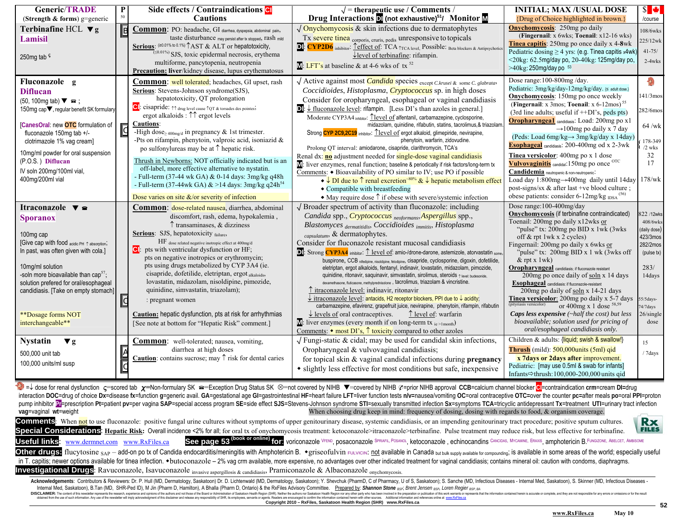| <b>Generic/TRADE</b>                                                                                                                                                                                                                                                                                                                                                                                   |                                 | Side effects / Contraindications CI                                                                                                                                                                                                                                                                                                                                                                                                                                                                                                                                                                                                                                                                                                                                                              | $\sqrt{\phantom{a}}$ = therapeutic use / Comments /                                                                                                                                                                                                                                                                                                                                                                                                                                                                                                                                                                                                                                                                                                                                                                                                                                                                                                                                                                                                                                                                                                                                                                                                                                   | <b>INITIAL; MAX/USUAL DOSE</b>                                                                                                                                                                                                                                                                                                                                                                                                                                                                                                                                                                                                                                                                                                                 | $s \rightarrow$                                                                                                                               |
|--------------------------------------------------------------------------------------------------------------------------------------------------------------------------------------------------------------------------------------------------------------------------------------------------------------------------------------------------------------------------------------------------------|---------------------------------|--------------------------------------------------------------------------------------------------------------------------------------------------------------------------------------------------------------------------------------------------------------------------------------------------------------------------------------------------------------------------------------------------------------------------------------------------------------------------------------------------------------------------------------------------------------------------------------------------------------------------------------------------------------------------------------------------------------------------------------------------------------------------------------------------|---------------------------------------------------------------------------------------------------------------------------------------------------------------------------------------------------------------------------------------------------------------------------------------------------------------------------------------------------------------------------------------------------------------------------------------------------------------------------------------------------------------------------------------------------------------------------------------------------------------------------------------------------------------------------------------------------------------------------------------------------------------------------------------------------------------------------------------------------------------------------------------------------------------------------------------------------------------------------------------------------------------------------------------------------------------------------------------------------------------------------------------------------------------------------------------------------------------------------------------------------------------------------------------|------------------------------------------------------------------------------------------------------------------------------------------------------------------------------------------------------------------------------------------------------------------------------------------------------------------------------------------------------------------------------------------------------------------------------------------------------------------------------------------------------------------------------------------------------------------------------------------------------------------------------------------------------------------------------------------------------------------------------------------------|-----------------------------------------------------------------------------------------------------------------------------------------------|
| (Strength & forms) g=generic                                                                                                                                                                                                                                                                                                                                                                           |                                 | <b>Cautions</b>                                                                                                                                                                                                                                                                                                                                                                                                                                                                                                                                                                                                                                                                                                                                                                                  | Drug Interactions D (not exhaustive) <sup>51</sup> / Monitor M                                                                                                                                                                                                                                                                                                                                                                                                                                                                                                                                                                                                                                                                                                                                                                                                                                                                                                                                                                                                                                                                                                                                                                                                                        | {Drug of Choice highlighted in brown.}                                                                                                                                                                                                                                                                                                                                                                                                                                                                                                                                                                                                                                                                                                         | /course                                                                                                                                       |
| Terbinafine HCL $\nabla$ g<br>Lamisil<br>250 <sub>mg tab</sub> s                                                                                                                                                                                                                                                                                                                                       | $\sqrt{B}$                      | Common: PO: headache, GI diarrhea, dyspepsia, abdominal pain,<br>taste disturbance may persist after tx stopped, rash mild<br>Serious: $(20.01\% \text{ to } 0.1\%)$ AST & ALT or hepatotoxicity,<br>(50.01%) SJS, toxic epidermal necrosis, erythema<br>multiforme, pancytopenia, neutropenia<br>Precaution: liver/kidney disease, lupus erythematosus                                                                                                                                                                                                                                                                                                                                                                                                                                          | $\sqrt{\text{Onychomycosis}}$ & skin infections due to dermatophytes<br>Tx severe tinea corporis, cruris, pedis unresponsive to topicals<br>D. CYP2D6 inhibitor: <u>Teffect of:</u> TCA <sub>TCA level,</sub> Possible: Beta blockers & Antipsychotics<br>$\sqrt{\frac{1}{2}}$ level of terbinafine: rifampin.<br>$M:$ LFT's at baseline & at 4-6 wks of tx <sup>52</sup>                                                                                                                                                                                                                                                                                                                                                                                                                                                                                                                                                                                                                                                                                                                                                                                                                                                                                                             | <b>Onvchomycosis:</b> 250mg po daily<br>(Fingernail: x 6wks; Toenail: x12-16 wks)<br><b>Tinea capitis</b> : 250mg po once daily x 4-8wk<br>Pediatric dosing $\geq$ 4 yrs: (e.g. Tinea capitis x4wk)<br>$\leq$ 20kg: 62.5mg/day po, 20-40kg: 125mg/day po,<br>>40kg: 250mg/day po 53                                                                                                                                                                                                                                                                                                                                                                                                                                                            | 108/6wks<br>225/12wk<br>$41 - 75/$<br>$2-4wks$                                                                                                |
| Fluconazole g<br><b>Diflucan</b><br>$(50, 100 \text{mg} \t{tab}) \blacktriangledown \text{m}$ :<br>150mg cap▼, regular benefit SK formulary<br>[CanesOral: new OTC formulation of<br>fluconazole 150mg tab +/-<br>clotrimazole 1% vag cream]<br>10mg/ml powder for oral suspension<br>(P.O.S.) Diflucan<br>IV soln 200mg/100ml vial,<br>400mg/200ml vial                                               |                                 | <b>Common:</b> well tolerated; headaches, GI upset, rash<br>Serious: Stevens-Johnson syndrome(SJS),<br>hepatotoxicity, QT prolongation<br>CI: cisapride: $\uparrow \uparrow$ drug level cause $\uparrow$ QT & torsades des pointes,<br>ergot alkaloids : $\uparrow \uparrow$ ergot levels<br><b>Cautions:</b><br>-High dose <sub>≥400mg/d</sub> in pregnancy & 1st trimester.<br>-Pts on rifampin, phenytoin, valproic acid, isoniazid $\&$<br>po sulfonylureas may be at $\uparrow$ hepatic risk.<br>Thrush in Newborns: NOT officially indicated but is an<br>off-label, more effective alternative to nystatin.<br>- Full-term (37-44 wk GA) & 0-14 days: 3mg/kg q48h<br>- Full-term (37-44wk GA) & >14 days: 3mg/kg q24h <sup>54</sup><br>Dose varies on site $\&$ /or severity of infection | √ Active against most <i>Candida</i> species <sub>except C.krusei &amp; some C. glabrata,</sub><br>Coccidioides, Histoplasma, Cryptococcus sp. in high doses<br>Consider for oropharyngeal, esophageal or vaginal candidiasis<br>$\boxed{\text{ol}}$ : $\downarrow$ fluconazole level: rifampin. [Less DI's than azoles in general.]<br>Moderate CYP3A4 inhibitor: Tlevel of alfentanil, carbamazepine, cyclosporine,<br>midazolam, quinidine, rifabutin, statins, tacrolimus, & triazolam<br>Strong CYP 2C9, 2C19 inhibitor: <u>Tlevel of</u> ergot alkaloid, glimepiride, nevirapine,<br>phenytoin, warfarin, zidovudine.<br>Prolong QT interval: amiodarone, cisapride, clarithromycin, TCA's<br>Renal dx: <b>no</b> adjustment needed for <b>single-dose vaginal candidiasis</b><br>M: liver enzymes, renal function; baseline & periodically if risk factors/long-term tx<br>Comments: • Bioavailability of PO similar to IV; use PO if possible<br>$\bullet \downarrow$ DI due to $\uparrow$ renal excretion <sup>80%</sup> & $\downarrow$ hepatic metabolism effect<br>• Compatible with breastfeeding<br>$\bullet$ May require dose $\uparrow$ if obese with severe/systemic infection                                                                                        | Dose range: 100-800mg/day.<br>Pediatric: 3mg/kg/day-12mg/kg/day. (≤ adult dose.)<br><b>Onychomycosis:</b> 150mg po once weekly<br>(Fingernail: x 3mos; Toenail: x 6-12mos) <sup>55</sup><br>(3rd line adults; useful if $++DI$ 's, peds pts)<br><b>Oropharyngea1</b> candidiasis: Load: 200mg po x1<br>$\rightarrow$ 100mg po daily x 7 day<br>(Peds: Load 6mg/kg→ 3mg/kg/day x 14day)<br>Esophageal candidiasis: 200-400mg od x 2-3wk<br>Tinea versicolor: 400mg po x 1 dose<br>Vulvovaginitis candidal: 150mg po once <sup>OTC</sup><br>Candidemia neutropenic & non-neutropenic:<br>Load day 1:800mg→400mg daily until 14day<br>post-signs/sx & after last +ve blood culture;<br>obese patients: consider 6-12mg/kg $_{\text{IDSA}}^{(56)}$ | 141/3mos<br>282/6mos<br>$64$ /wk<br>178-349<br>$/2$ wks<br>32<br>17<br>$178$ /wk                                                              |
| Itraconazole $\blacktriangledown$ $\approx$<br><b>Sporanox</b><br>100 <sub>mg</sub> cap<br>[Give cap with food $_{\text{acidiic PH}} \uparrow$ absorption,<br>In past, was often given with cola.]<br>10mg/ml solution<br>-soln more bioavailable than $\text{cap}^{57}$ .<br>solution prefered for oral/esophageal<br>candidiasis. [Take on empty stomach]<br>**Dosage forms NOT<br>interchangeable** | $ {\rm c} $                     | Common: dose-related nausea, diarrhea, abdominal<br>discomfort, rash, edema, hypokalemia,<br>$\uparrow$ transaminases. & dizziness<br>Serious: SJS, hepatotoxicity failure,<br>HF dose related negative inotropic effect at 400mg/d<br>Cl: pts with ventricular dysfunction or HF;<br>pts on negative inotropics or erythromycin;<br>pts using drugs metabolized by CYP 3A4 (ie.<br>cisapride, dofetilide, eletriptan, ergot alkaloids,<br>lovastatin, midazolam, nisoldipine, pimozide,<br>quinidine, simvastatin, triazolam);<br>: pregnant women<br><b>Caution:</b> hepatic dysfunction, pts at risk for arrhythmias<br>[See note at bottom for "Hepatic Risk" comment.]                                                                                                                      | $\sqrt$ Broader spectrum of activity than fluconazole: including<br>Candida spp., Cryptococcus <sub>neoformans</sub> , Aspergillus spp.,<br>Blastomyces <sub>dermatitidis</sub> , Coccidioides <sub>immitis</sub> , Histoplasma<br>capsulatum, & dermatophytes.<br>Consider for fluconazole resistant mucosal candidiasis<br><b>D</b> : Strong <b>CYP3A4</b> inhibitor: 1 level of: amio-/drone-darone, astemizole, atorvastatin some<br>buspirone, CCB nifedipine, nisoldipine, felodipine, Cisapride, cyclosporine, digoxin, dofetilide,<br>eletriptan, ergot alkaloids, fentanyl, indinavir, lovastatin, midazolam, pimozide,<br>quinidine, ritonavir, saquinavir, simvastatin, sirolimus, steroids 1 level: budesonide.<br>dexamethasone, fluticasone, methylprednisolone, tacrolimus, triazolam & vincristine.<br>T itraconazole level: indinavir, ritonavir<br>$\downarrow$ itraconazole level: antacids, H2 receptor blockers, PPI due to $\downarrow$ acidity;<br>carbamazepine, efavirenz, grapefruit juice, nevirapine, phenytoin, rifampin, rifabutin<br>$\downarrow$ levels of oral contraceptives.<br>↑ level of: warfarin<br>M: liver enzymes (every month if on long-term tx ie>1month)<br>Comments: $\bullet$ most DI's, $\uparrow$ toxicity compared to other azoles | Dose range:100-400mg/day<br>Onychomycosis (if terbinafine contraindicated)<br>Toenail: 200mg po daily x12wks or<br>"pulse" tx: 200mg po BID x 1wk (3wks)<br>off $&$ rpt 1wk x 2 cycles)<br>Fingernail: 200mg po daily x 6wks or<br>"pulse" tx: 200mg BID x 1 wk (3wks off<br>$&$ rpt x 1wk)<br>Oropharyngeal candidiasis: if fluconazole resistant<br>200mg po once daily of soln x 14 days<br>Esophageal candidiasis: if fluconazole-resistant<br>200mg po daily of soln x 14-21 days<br>Tinea versicolor: 200mg po daily x 5-7 days<br>(pityriasis versicolor)<br>or 400mg x 1 dose $58,59$<br><b>Caps less expensive</b> $(\sim$ half the cost) but less<br>bioavailable; solution used for pricing of<br>oral/esophageal candidiasis only. | 822/12wks<br>408/6wks<br>(daily dose)<br>423/3mos<br>282/2mos<br>(pulse tx)<br>283/<br>14days<br>55/5days-<br>$4/7$ days<br>26/single<br>dose |
| <b>Nystatin</b><br>$\mathbf{v}$ g<br>500,000 unit tab<br>100,000 units/ml susp                                                                                                                                                                                                                                                                                                                         | $\frac{\mathbf{A}}{\mathbf{C}}$ | <b>Common:</b> well-tolerated; nausea, vomiting,<br>diarrhea at high doses<br><b>Caution</b> : contains sucrose; may $\uparrow$ risk for dental caries                                                                                                                                                                                                                                                                                                                                                                                                                                                                                                                                                                                                                                           | $\sqrt{\frac{F_{\text{ungl}-\text{static}}}{F_{\text{ungl}-\text{static}}}}$ & cidal; may be used for candidal skin infections,<br>Oropharyngeal & vulvovaginal candidiasis;<br>for topical skin & vaginal candidal infections during pregnancy<br>• slightly less effective for most conditions but safe, inexpensive                                                                                                                                                                                                                                                                                                                                                                                                                                                                                                                                                                                                                                                                                                                                                                                                                                                                                                                                                                | Children & adults: {liquid; swish & swallow!}<br><b>Thrush</b> (mild): $500,000$ units $(5ml)$ gid<br>x 7days or 2days after improvement.<br>Pediatric: [may use 0.5ml & swab for infants]<br>Infants $\Rightarrow$ thrush: 100,000-200,000 units qid                                                                                                                                                                                                                                                                                                                                                                                                                                                                                          | 15<br>/ 7days                                                                                                                                 |

=↓ dose for renal dysfunction c=scored tab x=Non-formulary SK <sup>a</sup>=Exception Drug Status SK ©=not covered by NIHB ▼=covered by NIHB @=prior NIHB approval CCB=calcium channel blocker <mark>Ol</mark>=contraindication crm=cream DI=drug interaction DOC=drug of choice Dx=disease fx=function g=generic avail. GA=gestational age GI=gastrointestinal HF=heart failure LFT=liver function tests n/v=nausea/vomiting OC=oral contraceptive OTC=over the counter pc=afte pump inhibitor Prescription Pt=patient pv=per vagina SAP=special access program SE=side effect SJS=Stevens-Johnson syndrome STI=sexually transmitted infection Sx=symptoms TCA=tricyclic antidepressant Tx=treatment UTI=urina **vag=vaginal wt=weight** when choosing drug keep in mind: frequency of dosing, dosing with regards to food, & organism coverage.

**Comments**: When not to use fluconazole: positive fungal urine cultures without symptoms of upper genitourinary disease, systemic candidiasis, or an impending genitourinary tract procedure; positive sputum cultures. **Rx** Special Considerations: Hepatic Risk: Overall incidence <2% for all; for oral tx of onychomycosis treatment: ketoconazole>itraconazole>terbinafine. Pulse treatment may reduce risk, but less effective for terbinafine. **FILES** See page 53 <sup>(book or online) for: voriconazole VFEND, posaconazole SPRIAFIL, POSANOL, ketoconazole, echinocandins CANCIDAS, MYCAMINE, ERAXIS, amphotericin B. FUNGIZONE, ABELCET, AMBISOME</sup> **Useful links**: www.dermnet.comOther drugs: flucytosine sap - add-on po tx of Candida endocarditis/meningitis with Amphotericin B. • griseoful vin FULVICIN: not available in Canada but bulk supply available or compounding; is available in some areas of in T. capitis; newer options available for tinea infection.  $\bullet$ butoconazole - 2% vag crm available, more expensive, no advantages over other indicated treatment for vaginal candidiasis; contains mineral oil: caution with **Investigational Drugs**: Ravuconazole, Isavuconazole invasive aspergillosis & candidiasis, Pramiconazole & Albaconazole <sub>onvchomycosis</sub>

Acknowledgements: Contributors & Reviewers: Dr. P. Hull (MD, Dermatology, Saskatoon) Dr. D. Lichtenwald (MD, Dermatology, Saskatoon); Y. Shevchuk (PharmD, C of Pharmacy, U of S, Saskatoon); S. Sanche (MD, Infectious Diseas Internal Med. Saskatoon). B.Tan (MD, SHR-Ped ID), M Jin (Pharm D, Hamilton), A Bhalla (Pharm D, Ontario) & the RxFiles Advisory Committee. Prepared by: Shannon Stone Base, Brent Jensen Base, Loven Regier Bse, Pater DISCO and the statement of the news that the state of the state of the base of the base of the base of the base of the state of the state of the state of the state of the state of the state of the state of the state of the

**Copyright 2010 – RxFiles, Saskatoon Health Region (SHR) www.RxFiles.ca <sup>52</sup>**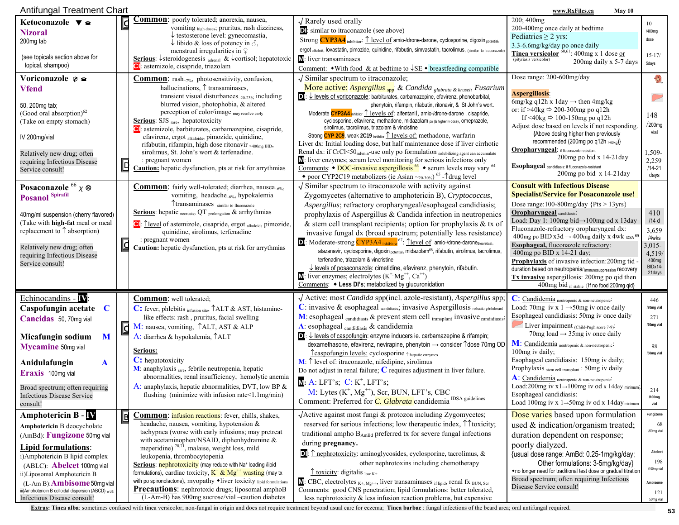| Antifungal Treatment Chart<br>www.RxFiles.ca<br>May 10                                                                                                                                                                                                                                                                                                       |                                     |                                                                                                                                                                                                                                                                                                                                                                                                                                                                                                                                                                                                                           |                                                                                                                                                                                                                                                                                                                                                                                                                                                                                                                                                                                                                                                                                                                                                                                                                                                                                                                                                                                                                                                                             |                                                                                                                                                                                                                                                                                                                                                                                                                                                                                                                                                                                                                                  |                                                                                                |
|--------------------------------------------------------------------------------------------------------------------------------------------------------------------------------------------------------------------------------------------------------------------------------------------------------------------------------------------------------------|-------------------------------------|---------------------------------------------------------------------------------------------------------------------------------------------------------------------------------------------------------------------------------------------------------------------------------------------------------------------------------------------------------------------------------------------------------------------------------------------------------------------------------------------------------------------------------------------------------------------------------------------------------------------------|-----------------------------------------------------------------------------------------------------------------------------------------------------------------------------------------------------------------------------------------------------------------------------------------------------------------------------------------------------------------------------------------------------------------------------------------------------------------------------------------------------------------------------------------------------------------------------------------------------------------------------------------------------------------------------------------------------------------------------------------------------------------------------------------------------------------------------------------------------------------------------------------------------------------------------------------------------------------------------------------------------------------------------------------------------------------------------|----------------------------------------------------------------------------------------------------------------------------------------------------------------------------------------------------------------------------------------------------------------------------------------------------------------------------------------------------------------------------------------------------------------------------------------------------------------------------------------------------------------------------------------------------------------------------------------------------------------------------------|------------------------------------------------------------------------------------------------|
| Ketoconazole $\blacktriangledown$ $\blacktriangleright$<br><b>Nizoral</b><br>200mg tab<br>(see topicals section above for                                                                                                                                                                                                                                    | $ \mathbf{c} $                      | <b>Common</b> : poorly tolerated; anorexia, nausea,<br>vomiting high doses; pruritus, rash dizziness,<br>$\downarrow$ testosterone level: gynecomastia,<br>$\downarrow$ libido & loss of potency in $\Diamond$ ,<br>menstrual irregularities in $\varphi$<br><b>Serious</b> : $\downarrow$ steroidogenesis <sub>adrenal</sub> & $\downarrow$ cortisol; hepatotoxic                                                                                                                                                                                                                                                        | $\sqrt{$ Rarely used orally<br>in similar to itraconazole (see above)<br>Strong CYP3A4 inhibitor: 1 level of amio-/drone-darone, cyclosporine, digoxin potential,<br>ergot alkaloid, lovastatin, pimozide, quinidine, rifabutin, simvastatin, tacrolimus, (similar to itraconazol<br>M: liver transaminases                                                                                                                                                                                                                                                                                                                                                                                                                                                                                                                                                                                                                                                                                                                                                                 | 200; 400mg<br>200-400mg once daily at bedtime<br>Pediatrics $\geq$ 2 yrs:<br>3.3-6.6mg/kg/day po once daily<br>Tinea versicolor ${}^{60,61}$ : 400mg x 1 dose or<br>(pityriasis versicolor)<br>200mg daily x 5-7 days                                                                                                                                                                                                                                                                                                                                                                                                            | 10<br>/400mg<br>dose<br>$15 - 17/$<br>5days                                                    |
| topical, shampoo)<br>Voriconazole $\varphi$ $\approx$                                                                                                                                                                                                                                                                                                        |                                     | Cl: astemizole, cisapride, triazolam<br><b>Common:</b> rash <sub>-7%</sub> , photosensitivity, confusion,                                                                                                                                                                                                                                                                                                                                                                                                                                                                                                                 | Comment: $\bullet$ With food & at bedtime to $\downarrow$ SE $\bullet$ breastfeeding compatible<br>$\sqrt{\frac{1}{2}}$ Similar spectrum to itraconazole;                                                                                                                                                                                                                                                                                                                                                                                                                                                                                                                                                                                                                                                                                                                                                                                                                                                                                                                   | Dose range: 200-600mg/day                                                                                                                                                                                                                                                                                                                                                                                                                                                                                                                                                                                                        |                                                                                                |
| <b>Vfend</b><br>50, 200mg tab;<br>(Good oral absorption) <sup>62</sup><br>(Take on empty stomach)<br>IV 200mg/vial<br>Relatively new drug; often<br>requiring Infectious Disease<br>Service consult!                                                                                                                                                         | $\overline{\mathbb{D}}$             | hallucinations, $\uparrow$ transaminases,<br>transient visual disturbances20-23% including<br>blurred vision, photophobia, & altered<br>perception of color/image may resolve early<br>Serious: SJS rare, hepatotoxicity<br>Cl: astemizole, barbiturates, carbamazepine, cisapride,<br>efavirenz, ergot alkaloids, pimozide, quinidine,<br>rifabutin, rifampin, high dose ritonavir >400mg BID,<br>sirolimus, St. John's wort & terfenadine.<br>: pregnant women<br><b>Caution:</b> hepatic dysfunction, pts at risk for arrythmias                                                                                       | More active: Aspergillus <sub>spp</sub> & Candida <sub>glabrata &amp; krusei</sub> , Fusarium<br>$\boxed{\bullet}$ : $\downarrow$ levels of voriconazole: barbiturates, carbamazepine, efavirenz, phenobarbital,<br>phenytoin, rifampin, rifabutin, ritonavir, & St John's wort.<br>Moderate CYP3A4 inhibitor 1 levels of: alfentanil, amio-/drone-darone, cisapride,<br>cyclosporine, efavirenz, methadone, midazolam po (& higher iv dose), Omeprazole,<br>sirolimus, tacrolimus, triazolam & vincistine<br>Strong CYP 2C9, weak 2C19 inhibitor 1 levels of: methadone, warfarin<br>Liver dx: Initial loading dose, but half maintenance dose if liver cirrhotic<br>Renal dx: if CrCl<50 <sub>ml/min</sub> -use only po formulation solubilizing agent can accumulate<br>M: liver enzymes; serum level monitoring for serious infections only<br><u>Comments</u> : $\bullet$ DOC-invasive aspergillosis <sup>63</sup> $\bullet$ serum levels may vary <sup>64</sup><br>• poor CYP2C19 metabolizers (ie Asian $\sim_{20\cdot30\%}$ ) <sup>65</sup> - $\uparrow$ drug level | <b>Aspergillosis:</b><br>6mg/kg q12h x 1day $\rightarrow$ then 4mg/kg<br>or: if >40kg $\Rightarrow$ 200-300mg po q12h<br>If <40kg $\Rightarrow$ 100-150mg po q12h<br>Adjust dose based on levels if not responding.<br>{Above dosing higher then previously<br>recommended (200mg po q12h >40kg)}<br>Oropharyngeal: if fluconazole resisitant<br>200mg po bid x 14-21day<br><b>Esophageal</b> candidiasis: if fluconazole-resistant<br>200mg po bid $x$ 14-21 day                                                                                                                                                                | 148<br>/200mg<br>vial<br>1,509-<br>2,259<br>$/14 - 21$<br>days                                 |
| Posaconazole $^{66}$ $\chi$ $\otimes$<br>Posanol Spirafil<br>40mg/ml suspension (cherry flavored)<br>(Take with high-fat meal or meal<br>replacement to $\uparrow$ absorption)<br>Relatively new drug; often<br>requiring Infectious Disease<br>Service consult!                                                                                             | $\overline{\underline{\textbf{c}}}$ | <b>Common:</b> fairly well-tolerated; diarrhea, nausea <sub>-6%</sub> ,<br>vomiting, headache <sub>~6%</sub> , hypokalemia<br>Ttransaminases similar to fluconazole<br><b>Serious</b> : hepatic $_{\text{necross}}$ , QT $_{\text{prolongation}}$ & arrhythmias<br>Cl: <u>Tlevel</u> of astemizole, cisapride, ergot alkaloid, pimozide,<br>quinidine, sirolimus, terfenadine<br>: pregnant women<br><b>Caution:</b> hepatic dysfunction, pts at risk for arrythmias                                                                                                                                                      | $\sqrt{\frac{1}{2}}$ Similar spectrum to itraconazole with activity against<br>Zygomycetes (alternative to amphotericin B), Cryptococcus,<br>Aspergillus; refractory oropharyngeal/esophageal candidiasis;<br>prophylaxis of Aspergillus & Candida infection in neutropenics<br>& stem cell transplant recipients; option for prophylaxis & tx of<br>invasive fungal dx (broad spectrum; potentially less resistance)<br>DI: Moderate-strong CYP3A4 inhibitor 67: Tlevel of amio-/drone-daronetheoretical,<br>atazanavir, cyclosporine, digoxin potential, midazolam <sup>68</sup> , rifabutin, sirolimus, tacrolimus,<br>terfenadine, triazolam & vincristine<br>$\overline{\downarrow}$ levels of posaconazole: cimetidine, efavirenz, phenytoin, rifabutin.<br>$M$ : liver enzymes; electrolytes ( $K^+$ , $Mg^{++}$ , $Ca^{++}$ )<br>Comments: • Less DI's; metabolized by glucuronidation                                                                                                                                                                              | <b>Consult with Infectious Disease</b><br><b>Specialist/Service for Posaconazole use!</b><br>Dose range: $100 - 800$ mg/day {Pts > $13$ yrs}<br><b>Oropharyngeal</b> candidiasis:<br>Load: Day 1: 100mg bid→100mg od x 13day<br>Fluconazole-refractory oropharyngeal dx:<br>400mg po BID x3d $\rightarrow$ 400mg daily x 4wk $_{1DSA}$ 69<br>Esophageal, fluconazole refractory:<br>400mg po BID x 14-21 day;<br><b>Prophylaxis</b> of invasive infection: 200mg tid<br>duration based on neutropenia/immunosuppression recovery<br>$Tx$ invasive aspergillosis: 200mg po qid then<br>400mg bid if stable {If no food 200mg qid} | 410<br>/14d<br>3,659<br>/4wks<br>3,015-<br>4,519/<br>400mg<br>BIDx14<br>21days                 |
| Echinocandins - IV<br>Caspofungin acetate<br>C<br>Cancidas 50, 70mg vial<br>Micafungin sodium<br>M<br><b>Mycamine</b> 50mg vial<br>Anidulafungin<br>A<br>Eraxis 100mg vial<br>Broad spectrum; often requiring<br><b>Infectious Disease Service</b><br>consult!                                                                                               | $\overline{\mathtt{S}}$             | <b>Common:</b> well tolerated;<br>C: fever, phlebitis infusion site, TALT & AST, histamine-<br>like effects: rash, pruritus, facial swelling<br>M: nausea, vomiting, <i>TALT</i> , AST & ALP<br>A: diarrhea & hypokalemia, TALT<br>Serious:<br>C: hepatotoxicity<br>M: anaphylaxis rare, febrile neutropenia, hepatic<br>abnormalities, renal insufficiency, hemolytic anemia<br>A: anaphylaxis, hepatic abnormalities, DVT, low BP $\&$<br>flushing (minimize with infusion rate $\leq 1.1$ mg/min)                                                                                                                      | $\sqrt{\text{Active: most } \text{Candida } \text{sp}(mcl. \text{ azole-resistant)}$ , Aspergillus spp.<br>C: invasive & esophageal candidiasis, invasive Aspergillosis refractory/intolerant<br>$M$ : esophageal candidiasis & prevent stem cell transplant invasive candidiasis<br>A: esophageal candidiasis & candidemia<br>$\boxed{\bullet}$ : $\downarrow$ levels of caspofungin: enzyme inducers ie. carbamazepine & rifampin;<br>dexamethasone, efavirenz, nevirapine, phenytoin → consider 1dose 70mg OD<br>Tcaspofungin levels: cyclosporine ↑ hepatic enzymes<br>$M: \hat{\mathbb{L}}$ level of: itraconazole, nifedipine, sirolimus<br>Do not adjust in renal failure; $C$ requires adjustment in liver failure.<br>$M: A: LFT's$ ; $C: K^+$ , LFT's;<br>M: Lytes $(K^+, Mg^{++})$ , Scr, BUN, LFT's, CBC<br>Comment: Preferred for <i>C. Glabrata</i> candidemia <sup>IDSA</sup> guidelines                                                                                                                                                                     | C: Candidemia neutropenic & non-neutropenic-<br>Load: 70mg iv x 1 $\rightarrow$ 50mg iv once daily<br>Esophageal candidiasis: 50mg iv once daily<br>Liver impairment (Child-Pugh score 7-9).<br>70 mg load $\rightarrow$ 35 mg iv once daily<br>M: Candidemia neutropenic & non-neutropenic:<br>100 mg iv daily;<br>Esophageal candidiasis: 150mg iv daily;<br>Prophylaxis stem cell transplant : 50mg iv daily<br>A: Candidemia neutropenic & non-neutropenic<br>Load:200mg iv $x1 \rightarrow 100$ mg iv od x 14day minimum;<br>Esophageal candidiasis:<br>Load 100mg iv x $1 \rightarrow 50$ mg iv od x 14day minimum         | 446<br>/70mg vial<br>271<br>/50mg vial<br>98<br>/50mg vial<br>214<br>/100mg<br>vial            |
| Amphotericin B - $\bf{N}$<br>Amphotericin B deocycholate<br>(AmBd): Fungizone 50mg vial<br><b>Lipid formulations:</b><br>i)Amphotericin B lipid complex<br>(ABLC): <b>Abelcet</b> 100mg vial<br>ii)Liposomal Amphotericin B<br>$(L-Am B):$ <b>Ambisome</b> 50 mg via<br>iii) Amphotericin B colloidal dispersion (ABCD) in us<br>Infectious Disease consult! | $\overline{\mathbf{B}}$             | Common: <i>infusion reactions</i> : fever, chills, shakes,<br>headache, nausea, vomiting, hypotension $\&$<br>tachypnea (worse with early infusions; may pretreat<br>with acetaminophen/NSAID, diphenhydramine &<br>meperidine) $70,71$ , malaise, weight loss, mild<br>leukopenia, thrombocytopenia<br>Serious: nephrotoxicity (may reduce with Na+ loading /lipid<br>formulations), cardiac toxicity, $K^+ \& Mg^{++}$ wasting (may tx<br>with po spironolactone), myopathy •liver toxicity lipid formulations<br>Precautions: nephrotoxic drugs; liposomal amphoB<br>(L-Am-B) has 900mg sucrose/vial -caution diabetes | √Active against most fungi & protozoa including Zygomycetes;<br>reserved for serious infections; low therapeutic index, $\uparrow \uparrow$ toxicity;<br>traditional ampho BAmBd preferred tx for severe fungal infections<br>during pregnancy.<br>$\Box$ : $\uparrow$ nephrotoxicity: aminoglycosides, cyclosporine, tacrolimus, &<br>other nephrotoxins including chemotherapy<br>$\hat{\mathcal{L}}$ toxicity: digitalis low K+<br>$\mathbf{M}$ : CBC, electrolytes $_{K^+, Mg^{++}}$ , liver transaminases <sub>if lipid</sub> , renal fx BUN, Scr<br>Comments: good CNS penetration; lipid formulations: better tolerated,<br>less nephrotoxicity $\&$ less infusion reaction problems, but expensive                                                                                                                                                                                                                                                                                                                                                                  | Dose varies based upon formulation<br>used $\&$ indication/organism treated;<br>duration dependent on response;<br>poorly dialyzed.<br>{usual dose range: AmBd: 0.25-1mg/kg/day;<br>Other formulations: 3-5mg/kg/day}<br>• no longer need for traditional test dose or gradual titration<br>Broad spectrum; often requiring Infectious<br>Disease Service consult!                                                                                                                                                                                                                                                               | Fungizone<br>68<br>/50mg vial<br>Abelcet<br>198<br>/100mg vial<br>Ambisome<br>121<br>50mg vial |

Extras: Tinea alba: sometimes confused with tinea versicolor; non-fungal in origin and does not require treatment beyond usual care for eczema; Tinea barbae : fungal infections of the beard area; oral antifungal required.